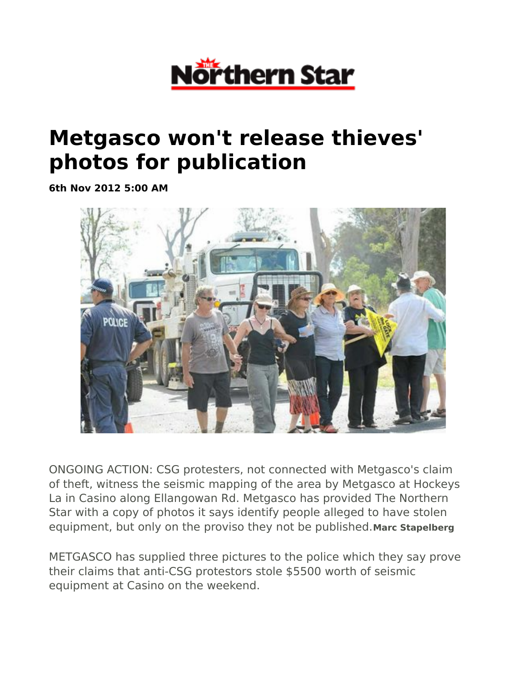

## **Metgasco won't release thieves' photos for publication**

**6th Nov 2012 5:00 AM**



ONGOING ACTION: CSG protesters, not connected with Metgasco's claim of theft, witness the seismic mapping of the area by Metgasco at Hockeys La in Casino along Ellangowan Rd. Metgasco has provided The Northern Star with a copy of photos it says identify people alleged to have stolen equipment, but only on the proviso they not be published.**Marc Stapelberg**

METGASCO has supplied three pictures to the police which they say prove their claims that anti-CSG protestors stole \$5500 worth of seismic equipment at Casino on the weekend.